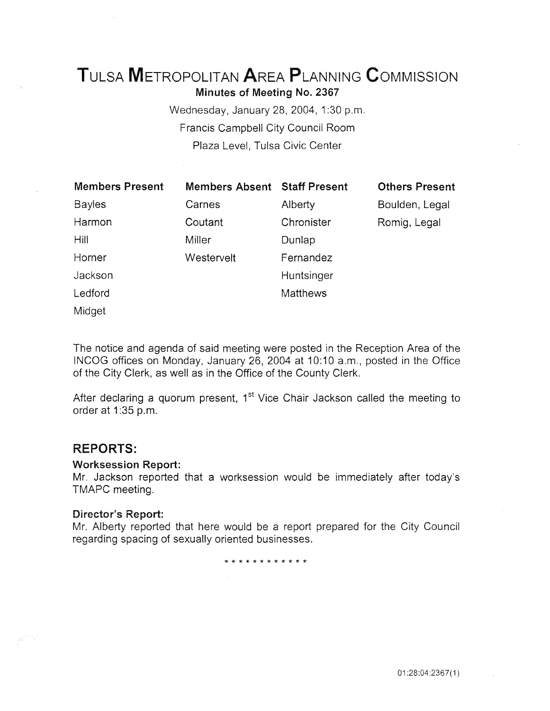# TuLSA METROPOLITAN AREA PLANNING CoMMISSION

Minutes of Meeting No. 2367

Wednesday, January 28, 2004, 1:30 p.m. Francis Campbell City Council Room Plaza Level, Tulsa Civic Center

| <b>Members Present</b> | <b>Members Absent Staff Present</b> |                 | <b>Others Present</b> |
|------------------------|-------------------------------------|-----------------|-----------------------|
| <b>Bayles</b>          | Carnes                              | Alberty         | Boulden, Legal        |
| Harmon                 | Coutant                             | Chronister      | Romig, Legal          |
| Hill                   | Miller                              | Dunlap          |                       |
| Horner                 | Westervelt                          | Fernandez       |                       |
| Jackson                |                                     | Huntsinger      |                       |
| Ledford                |                                     | <b>Matthews</b> |                       |
| Midget                 |                                     |                 |                       |

The notice and agenda of said meeting were posted in the Reception Area of the INCOG offices on Monday, January 26, 2004 at 10:10 a.m., posted in the Office of the City Clerk, as well as in the Office of the County Clerk.

After declaring a quorum present, 1<sup>st</sup> Vice Chair Jackson called the meeting to order at 1:35 p.m.

# **REPORTS:**

# Worksession Report:

Mr. Jackson reported that a worksession would be immediately after today's TMAPC meeting.

# Director's Report:

Mr. Alberty reported that here would be a report prepared for the City Council regarding spacing of sexually oriented businesses.

\* \* \* \* \* \* \* \* \* \* \* \*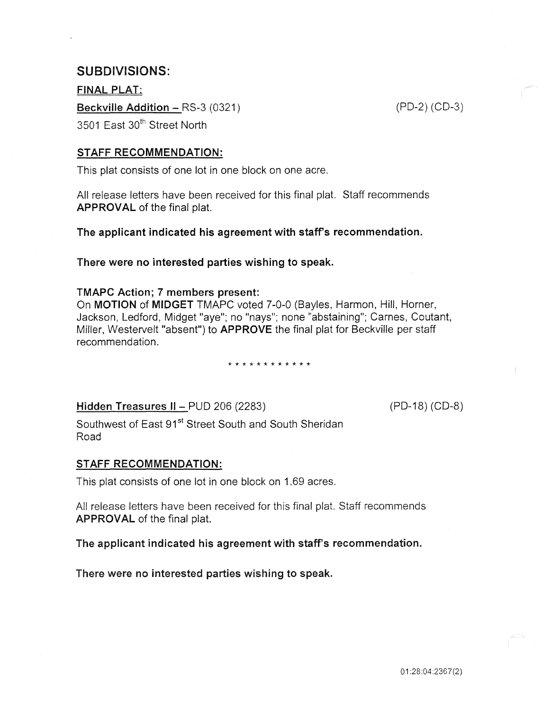# SUBDIVISIONS:

FINAL PLAT: Beckville Addition - RS-3 (0321) 3501 East 30<sup>th</sup> Street North

(PD-2) (CD-3)

# STAFF RECOMMENDATION:

This plat consists of one lot in one block on one acre.

All release letters have been received for this final plat. Staff recommends APPROVAL of the final plat.

The applicant indicated his agreement with staff's recommendation.

There were no interested parties wishing to speak.

#### TMAPC Action; 7 members present:

On MOTION of MIDGET TMAPC voted 7-0-0 (Bayles, Harmon, Hill, Horner, Jackson, Ledford, Midget "aye"; no "nays"; none "abstaining"; Carnes, Coutant, Miller, Westervelt "absent") to **APPROVE** the final plat for Beckville per staff recommendation.

\* \* \* \* \* \* \* \* \* \* \*

Hidden Treasures II - PUD 206 (2283)

(PD-18) (CD-8)

Southwest of East 91<sup>st</sup> Street South and South Sheridan Road

# STAFF RECOMMENDATION:

This plat consists of one lot in one block on 1.69 acres.

All release letters have been received for this final plat. Staff recommends APPROVAL of the final plat.

The applicant indicated his agreement with staff's recommendation.

There were no interested parties wishing to speak.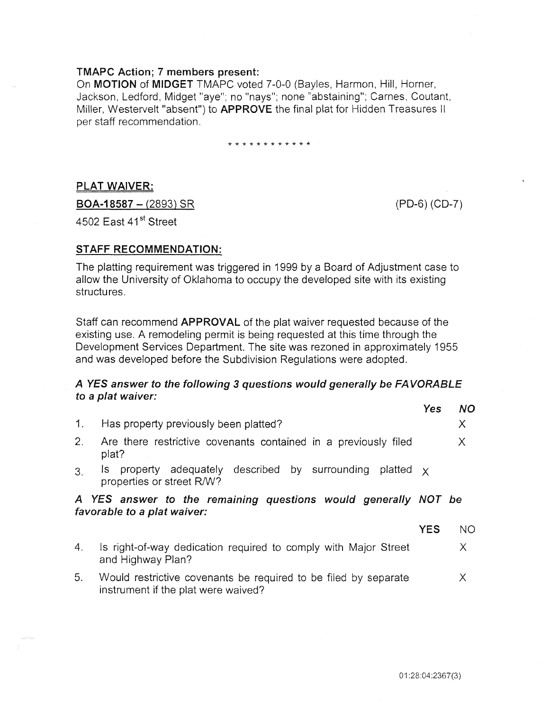# TMAPC Action; 7 members present:

On MOTION of MIDGET TMAPC voted 7-0-0 (Bayles, Harmon, Hill, Horner, Jackson, Ledford, Midget "aye"; no "nays"; none "abstaining"; Carnes, Coutant, Miller, Westervelt "absent") to APPROVE the final plat for Hidden Treasures II per staff recommendation.

\* \* \* \* \* \* \* \* \* \* \* \*

# PLAT WAIVER:

 $BOA-18587 - (2893) SR$ 

(PD-6) (CD-7)

4502 East 41<sup>st</sup> Street

# STAFF RECOMMENDATION:

The platting requirement was triggered in 1999 by a Board of Adjustment case to allow the University of Oklahoma to occupy the developed site with its existing structures.

Staff can recommend APPROVAL of the plat waiver requested because of the existing use. A remodeling permit is being requested at this time through the Development Services Department. The site was rezoned in approximately 1955 and was developed before the Subdivision Regulations were adopted.

#### A YES answer to the following 3 questions would generally be FAVORABLE to a plat waiver:  $V_{\text{eff}}$   $N_{\text{eff}}$

|                |                                                                                                        | res        | <b>NU</b> |
|----------------|--------------------------------------------------------------------------------------------------------|------------|-----------|
| 1.             | Has property previously been platted?                                                                  |            | Χ         |
| 2.             | Are there restrictive covenants contained in a previously filed<br>plat?                               |            | X         |
| 3 <sub>1</sub> | property adequately described by surrounding<br>platted $\times$<br>Is l<br>properties or street R/W?  |            |           |
|                | A YES answer to the remaining questions would generally NOT be<br>favorable to a plat waiver:          |            |           |
|                |                                                                                                        | <b>YES</b> | <b>NO</b> |
| 4.             | Is right-of-way dedication required to comply with Major Street<br>and Highway Plan?                   |            | X.        |
| 5.             | Would restrictive covenants be required to be filed by separate<br>instrument if the plat were waived? |            | X         |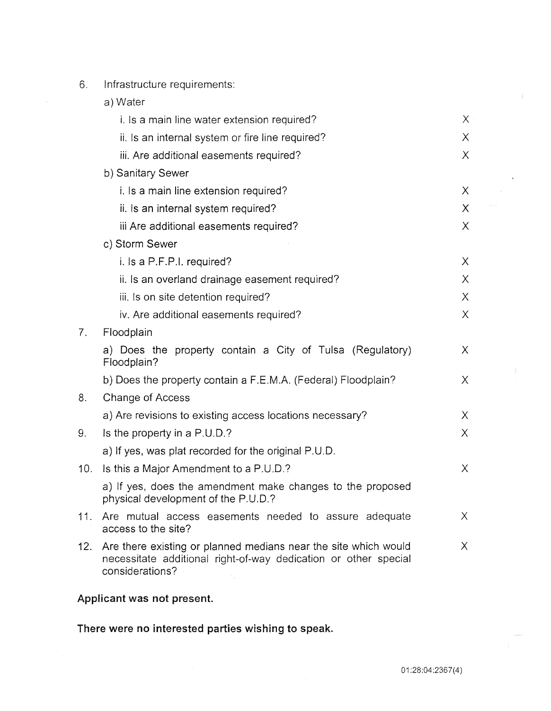- 6. Infrastructure requirements:
	- a) Water

|     | i. Is a main line water extension required?                                                                                                           | X.       |
|-----|-------------------------------------------------------------------------------------------------------------------------------------------------------|----------|
|     | ii. Is an internal system or fire line required?                                                                                                      | $\chi$   |
|     | iii. Are additional easements required?                                                                                                               | X        |
|     | b) Sanitary Sewer                                                                                                                                     |          |
|     | i. Is a main line extension required?                                                                                                                 | X.       |
|     | ii. Is an internal system required?                                                                                                                   | X.       |
|     | iii Are additional easements required?                                                                                                                | $\chi$   |
|     | c) Storm Sewer                                                                                                                                        |          |
|     | i. Is a P.F.P.I. required?                                                                                                                            | X        |
|     | ii. Is an overland drainage easement required?                                                                                                        | X.       |
|     | iii. Is on site detention required?                                                                                                                   | X        |
|     | iv. Are additional easements required?                                                                                                                | $\times$ |
| 7.  | Floodplain                                                                                                                                            |          |
|     | a) Does the property contain a City of Tulsa (Regulatory)<br>Floodplain?                                                                              | X.       |
|     | b) Does the property contain a F.E.M.A. (Federal) Floodplain?                                                                                         | X.       |
| 8.  | Change of Access                                                                                                                                      |          |
|     | a) Are revisions to existing access locations necessary?                                                                                              | $\times$ |
| 9.  | Is the property in a P.U.D.?                                                                                                                          | X        |
|     | a) If yes, was plat recorded for the original P.U.D.                                                                                                  |          |
| 10. | Is this a Major Amendment to a P.U.D.?                                                                                                                | X        |
|     | a) If yes, does the amendment make changes to the proposed<br>physical development of the P.U.D.?                                                     |          |
| 11. | Are mutual access easements needed to assure adequate<br>access to the site?                                                                          | X.       |
| 12. | Are there existing or planned medians near the site which would<br>necessitate additional right-of-way dedication or other special<br>considerations? | X.       |
|     |                                                                                                                                                       |          |

# Applicant was not present.

There were no interested parties wishing to speak.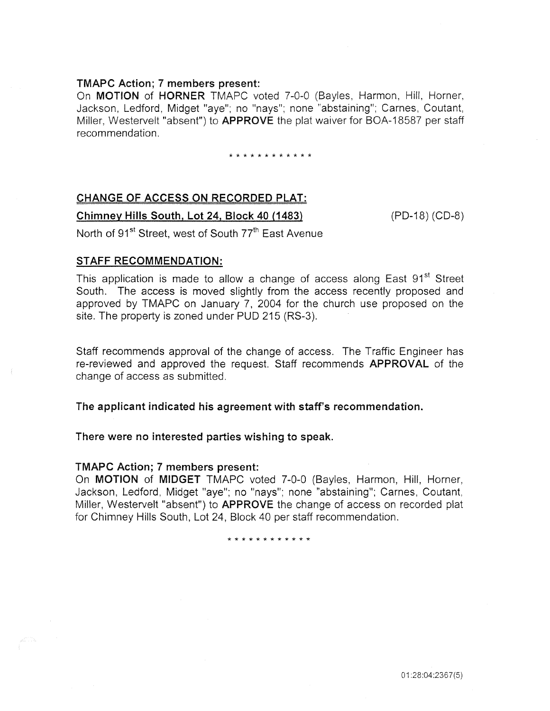# TMAPC Action; 7 members present:

On MOTION of HORNER TMAPC voted 7-0-0 (Bayles, Harmon, Hill, Horner, Jackson, Ledford, Midget "aye"; no "nays"; none "abstaining"; Carnes, Coutant, Miller, Westervelt "absent") to **APPROVE** the plat waiver for BOA-18587 per staff recommendation.

#### \* \* \* \* \* \* \* \* \* \* \* \*

# CHANGE OF ACCESS ON RECORDED PLAT:

Chimney Hills South, Lot 24, Block 40 (1483)

(PD-18) (CD-8)

North of 91<sup>st</sup> Street, west of South 77<sup>th</sup> East Avenue

# STAFF RECOMMENDATION:

This application is made to allow a change of access along East 91<sup>st</sup> Street South. The access is moved slightly from the access recently proposed and approved by TMAPC on January 7, 2004 for the church use proposed on the site. The property is zoned under PUD 215 (RS-3).

Staff recommends approval of the change of access. The Traffic Engineer has re-reviewed and approved the request. Staff recommends APPROVAL of the change of access as submitted.

The applicant indicated his agreement with staff's recommendation.

# There were no interested parties wishing to speak.

# TMAPC Action; 7 members present:

On MOTION of MIDGET TMAPC voted 7-0-0 (Bayles, Harmon, Hill, Horner, Jackson, Ledford, Midget "aye"; no "nays"; none "abstaining"; Carnes, Coutant, Miller, Westervelt "absent") to APPROVE the change of access on recorded plat for Chimney Hills South, Lot 24, Block 40 per staff recommendation.

\* \* \* \* \* \* \* \* \* \* \* \*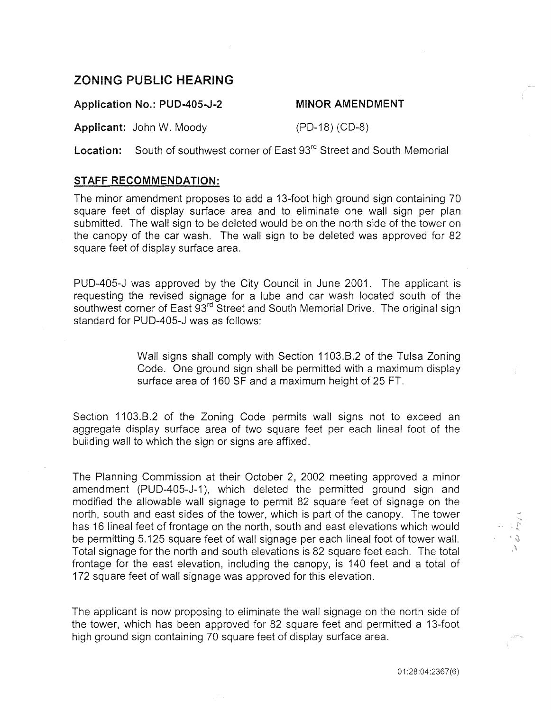# **ZONING PUBLIC HEARING**

**Application No.: PUD-405-J-2** 

# **MINOR AMENDMENT**

**Applicant:** John W. Moody (PD-18) (CD-8)

Location: South of southwest corner of East 93<sup>rd</sup> Street and South Memorial

# **STAFF RECOMMENDATION:**

The minor amendment proposes to add a 13-foot high ground sign containing 70 square feet of display surface area and to eliminate one wall sign per plan submitted. The wall sign to be deleted would be on the north side of the tower on the canopy of the car wash. The wall sign to be deleted was approved for 82 square feet of display surface area.

PUD-405-J was approved by the City Council in June 2001. The applicant is requesting the revised signage for a lube and car wash located south of the southwest corner of East 93<sup>rd</sup> Street and South Memorial Drive. The original sign standard for PUD-405-J was as follows:

> Wall signs shall comply with Section 1103.8.2 of the Tulsa Zoning Code. One ground sign shall be permitted with a maximum display surface area of 160 SF and a maximum height of 25FT.

Section 1103.8.2 of the Zoning Code permits wall signs not to exceed an aggregate display surface area of two square feet per each lineal foot of the building wall to which the sign or signs are affixed.

The Planning Commission at their October 2, 2002 meeting approved a minor amendment (PUD-405-J-1 ), which deleted the permitted ground sign and modified the allowable wall signage to permit 82 square feet of signage on the north, south and east sides of the tower, which is part of the canopy. The tower has 16 lineal feet of frontage on the north, south and east elevations which would be permitting 5.125 square feet of wall signage per each lineal foot of tower wall. Total signage for the north and south elevations is 82 square feet each. The total frontage for the east elevation, including the canopy, is 140 feet and a total of 172 square feet of wall signage was approved for this elevation.

The applicant is now proposing to eliminate the wall signage on the north side of the tower, which has been approved for 82 square feet and permitted a 13-foot high ground sign containing 70 square feet of display surface area.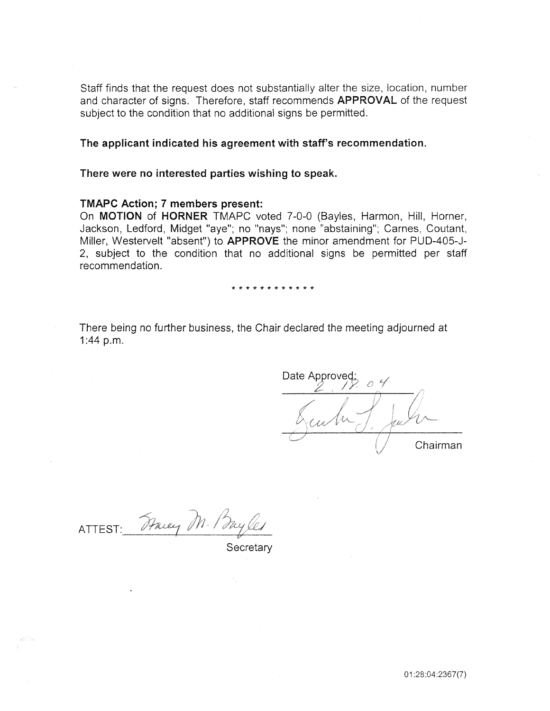Staff finds that the request does not substantially alter the size, location, number and character of signs. Therefore, staff recommends APPROVAL of the request subject to the condition that no additional signs be permitted.

# The applicant indicated his agreement with staff's recommendation.

# There were no interested parties wishing to speak.

### TMAPC Action; 7 members present:

On MOTION of HORNER TMAPC voted 7-0-0 (Bayles, Harmon, Hill, Horner, Jackson, Ledford, Midget "aye"; no "nays"; none "abstaining"; Carnes, Coutant, Miller, Westervelt "absent") to APPROVE the minor amendment for PUD-405-J-2, subject to the condition that no additional signs be permitted per staff recommendation.

#### \* \* \* \* \* \* \* \* \* \* \* \*

There being no further business, the Chair declared the meeting adjourned at 1:44 p.m.

Date Approved: cubr. Chairman

ATTEST: Tracey M. Bayles

**Secretary**